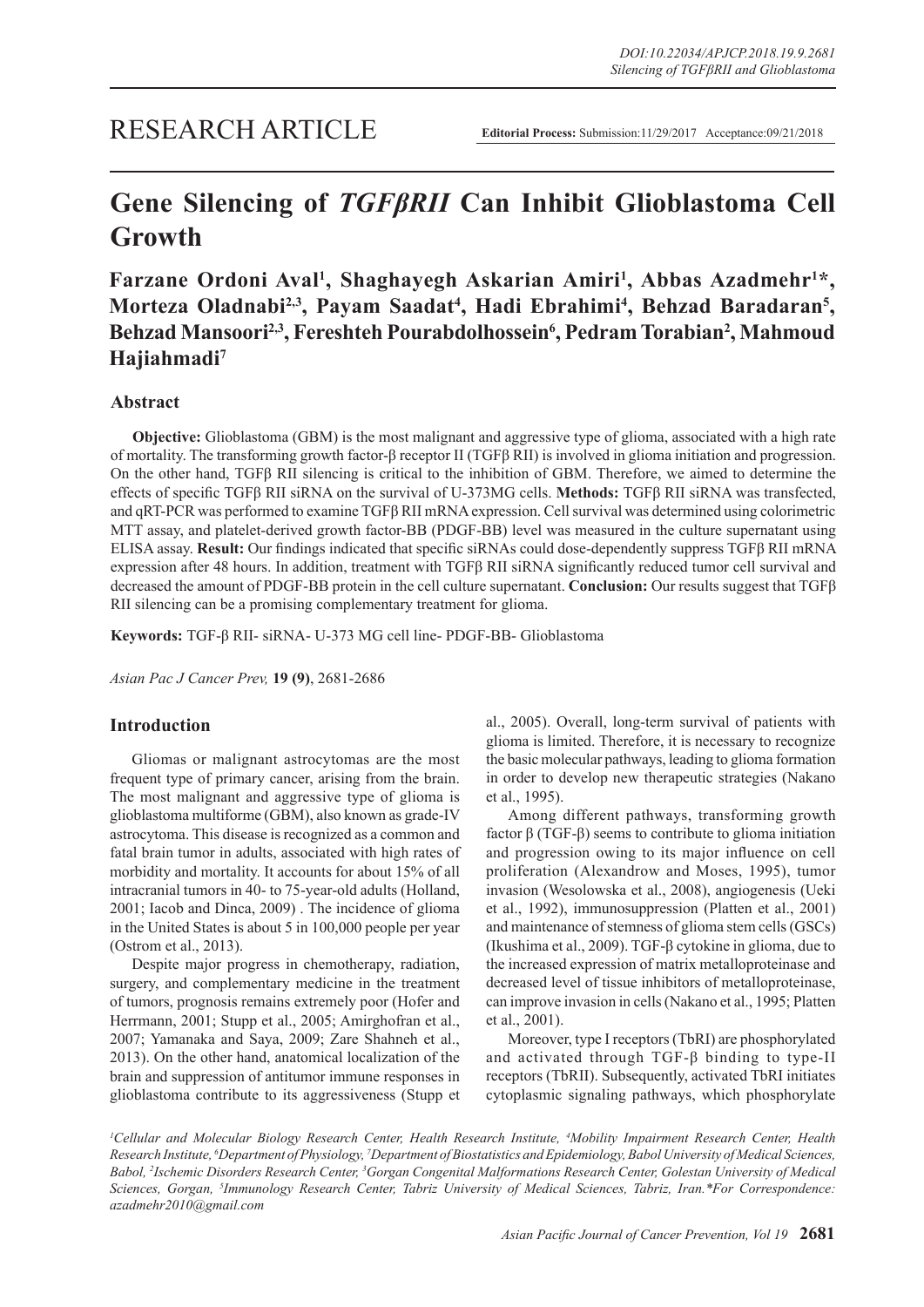# **Gene Silencing of** *TGFβRII* **Can Inhibit Glioblastoma Cell Growth**

Farzane Ordoni Aval<sup>1</sup>, Shaghayegh Askarian Amiri<sup>1</sup>, Abbas Azadmehr<sup>1\*</sup>, Morteza Oladnabi<sup>2,3</sup>, Payam Saadat<sup>4</sup>, Hadi Ebrahimi<sup>4</sup>, Behzad Baradaran<sup>5</sup>, Behzad Mansoori<sup>2,3</sup>, Fereshteh Pourabdolhossein<sup>6</sup>, Pedram Torabian<sup>2</sup>, Mahmoud **Hajiahmadi7**

# **Abstract**

**Objective:** Glioblastoma (GBM) is the most malignant and aggressive type of glioma, associated with a high rate of mortality. The transforming growth factor-β receptor II (TGFβ RII) is involved in glioma initiation and progression. On the other hand, TGFβ RII silencing is critical to the inhibition of GBM. Therefore, we aimed to determine the effects of specific TGFβ RII siRNA on the survival of U-373MG cells. **Methods:** TGFβ RII siRNA was transfected, and qRT-PCR was performed to examine TGFβ RII mRNA expression. Cell survival was determined using colorimetric MTT assay, and platelet-derived growth factor-BB (PDGF-BB) level was measured in the culture supernatant using ELISA assay. **Result:** Our findings indicated that specific siRNAs could dose-dependently suppress TGFβ RII mRNA expression after 48 hours. In addition, treatment with TGFβ RII siRNA significantly reduced tumor cell survival and decreased the amount of PDGF-BB protein in the cell culture supernatant. **Conclusion:** Our results suggest that TGFβ RII silencing can be a promising complementary treatment for glioma.

**Keywords:** TGF-β RII- siRNA- U-373 MG cell line- PDGF-BB- Glioblastoma

*Asian Pac J Cancer Prev,* **19 (9)**, 2681-2686

# **Introduction**

Gliomas or malignant astrocytomas are the most frequent type of primary cancer, arising from the brain. The most malignant and aggressive type of glioma is glioblastoma multiforme (GBM), also known as grade-IV astrocytoma. This disease is recognized as a common and fatal brain tumor in adults, associated with high rates of morbidity and mortality. It accounts for about 15% of all intracranial tumors in 40- to 75-year-old adults (Holland, 2001; Iacob and Dinca, 2009) . The incidence of glioma in the United States is about 5 in 100,000 people per year (Ostrom et al., 2013).

Despite major progress in chemotherapy, radiation, surgery, and complementary medicine in the treatment of tumors, prognosis remains extremely poor (Hofer and Herrmann, 2001; Stupp et al., 2005; Amirghofran et al., 2007; Yamanaka and Saya, 2009; Zare Shahneh et al., 2013). On the other hand, anatomical localization of the brain and suppression of antitumor immune responses in glioblastoma contribute to its aggressiveness (Stupp et al., 2005). Overall, long-term survival of patients with glioma is limited. Therefore, it is necessary to recognize the basic molecular pathways, leading to glioma formation in order to develop new therapeutic strategies (Nakano et al., 1995).

Among different pathways, transforming growth factor β (TGF-β) seems to contribute to glioma initiation and progression owing to its major influence on cell proliferation (Alexandrow and Moses, 1995), tumor invasion (Wesolowska et al., 2008), angiogenesis (Ueki et al., 1992), immunosuppression (Platten et al., 2001) and maintenance of stemness of glioma stem cells (GSCs) (Ikushima et al., 2009). TGF-β cytokine in glioma, due to the increased expression of matrix metalloproteinase and decreased level of tissue inhibitors of metalloproteinase, can improve invasion in cells (Nakano et al., 1995; Platten et al., 2001).

Moreover, type I receptors (TbRI) are phosphorylated and activated through TGF-β binding to type-II receptors (TbRII). Subsequently, activated TbRI initiates cytoplasmic signaling pathways, which phosphorylate

<sup>1</sup>Cellular and Molecular Biology Research Center, Health Research Institute, <sup>4</sup>Mobility Impairment Research Center, Health *Research Institute, 6 Department of Physiology, 7 Department of Biostatistics and Epidemiology, Babol University of Medical Sciences,*  Babol, <sup>2</sup>Ischemic Disorders Research Center, <sup>3</sup>Gorgan Congenital Malformations Research Center, Golestan University of Medical *Sciences, Gorgan, 5 Immunology Research Center, Tabriz University of Medical Sciences, Tabriz, Iran.\*For Correspondence: azadmehr2010@gmail.com*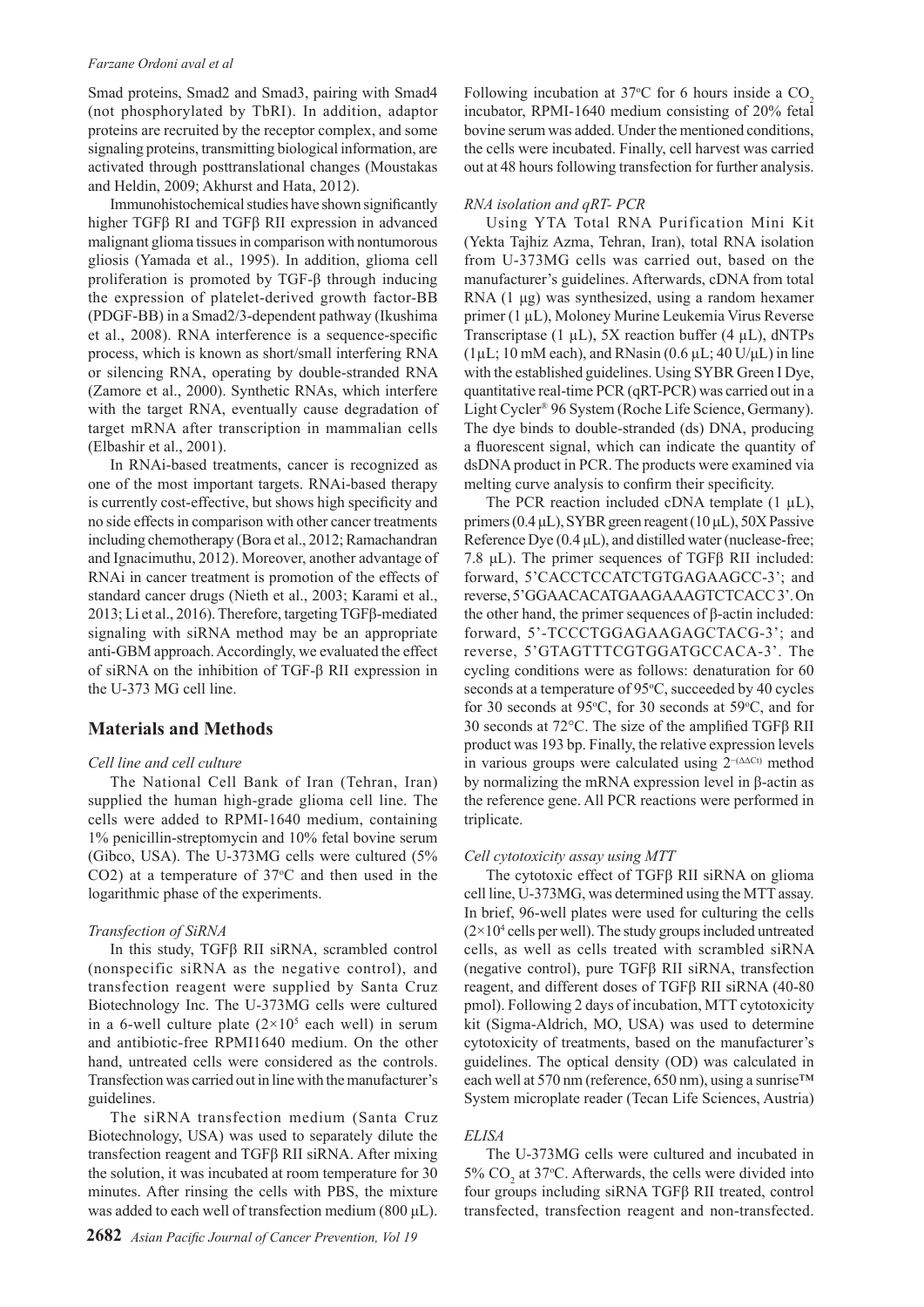#### *Farzane Ordoni aval et al*

Smad proteins, Smad2 and Smad3, pairing with Smad4 (not phosphorylated by TbRI). In addition, adaptor proteins are recruited by the receptor complex, and some signaling proteins, transmitting biological information, are activated through posttranslational changes (Moustakas and Heldin, 2009; Akhurst and Hata, 2012).

Immunohistochemical studies have shown significantly higher TGFβ RI and TGFβ RII expression in advanced malignant glioma tissues in comparison with nontumorous gliosis (Yamada et al., 1995). In addition, glioma cell proliferation is promoted by TGF-β through inducing the expression of platelet-derived growth factor-BB (PDGF-BB) in a Smad2/3-dependent pathway (Ikushima et al., 2008). RNA interference is a sequence-specific process, which is known as short/small interfering RNA or silencing RNA, operating by double-stranded RNA (Zamore et al., 2000). Synthetic RNAs, which interfere with the target RNA, eventually cause degradation of target mRNA after transcription in mammalian cells (Elbashir et al., 2001).

In RNAi-based treatments, cancer is recognized as one of the most important targets. RNAi-based therapy is currently cost-effective, but shows high specificity and no side effects in comparison with other cancer treatments including chemotherapy (Bora et al., 2012; Ramachandran and Ignacimuthu, 2012). Moreover, another advantage of RNAi in cancer treatment is promotion of the effects of standard cancer drugs (Nieth et al., 2003; Karami et al., 2013; Li et al., 2016). Therefore, targeting TGFβ-mediated signaling with siRNA method may be an appropriate anti-GBM approach. Accordingly, we evaluated the effect of siRNA on the inhibition of TGF-β RII expression in the U-373 MG cell line.

### **Materials and Methods**

#### *Cell line and cell culture*

The National Cell Bank of Iran (Tehran, Iran) supplied the human high-grade glioma cell line. The cells were added to RPMI-1640 medium, containing 1% penicillin-streptomycin and 10% fetal bovine serum (Gibco, USA). The U-373MG cells were cultured (5% CO2) at a temperature of  $37^{\circ}$ C and then used in the logarithmic phase of the experiments.

#### *Transfection of SiRNA*

In this study, TGFβ RII siRNA, scrambled control (nonspecific siRNA as the negative control), and transfection reagent were supplied by Santa Cruz Biotechnology Inc. The U-373MG cells were cultured in a 6-well culture plate  $(2 \times 10^5 \text{ each well})$  in serum and antibiotic-free RPMI1640 medium. On the other hand, untreated cells were considered as the controls. Transfection was carried out in line with the manufacturer's guidelines.

The siRNA transfection medium (Santa Cruz Biotechnology, USA) was used to separately dilute the transfection reagent and TGFβ RII siRNA. After mixing the solution, it was incubated at room temperature for 30 minutes. After rinsing the cells with PBS, the mixture was added to each well of transfection medium (800 μL).

Following incubation at 37°C for 6 hours inside a  $CO<sub>2</sub>$ incubator, RPMI-1640 medium consisting of 20% fetal bovine serum was added. Under the mentioned conditions, the cells were incubated. Finally, cell harvest was carried out at 48 hours following transfection for further analysis.

#### *RNA isolation and qRT- PCR*

Using YTA Total RNA Purification Mini Kit (Yekta Tajhiz Azma, Tehran, Iran), total RNA isolation from U-373MG cells was carried out, based on the manufacturer's guidelines. Afterwards, cDNA from total RNA (1 μg) was synthesized, using a random hexamer primer (1 µL), Moloney Murine Leukemia Virus Reverse Transcriptase (1 µL), 5X reaction buffer (4 µL), dNTPs ( $1 \mu$ L; 10 mM each), and RNasin (0.6  $\mu$ L; 40 U/ $\mu$ L) in line with the established guidelines. Using SYBR Green I Dye, quantitative real-time PCR (qRT-PCR) was carried out in a Light Cycler® 96 System (Roche Life Science, Germany). The dye binds to double-stranded (ds) DNA, producing a fluorescent signal, which can indicate the quantity of dsDNA product in PCR. The products were examined via melting curve analysis to confirm their specificity.

The PCR reaction included cDNA template  $(1 \mu L)$ , primers (0.4 μL), SYBR green reagent (10 μL), 50X Passive Reference Dye (0.4 μL), and distilled water (nuclease-free; 7.8 μL). The primer sequences of TGFβ RII included: forward, 5'CACCTCCATCTGTGAGAAGCC-3'; and reverse, 5'GGAACACATGAAGAAAGTCTCACC 3'. On the other hand, the primer sequences of β-actin included: forward, 5'-TCCCTGGAGAAGAGCTACG-3'; and reverse, 5'GTAGTTTCGTGGATGCCACA-3'. The cycling conditions were as follows: denaturation for 60 seconds at a temperature of 95°C, succeeded by 40 cycles for 30 seconds at 95 $\degree$ C, for 30 seconds at 59 $\degree$ C, and for 30 seconds at 72°C. The size of the amplified TGFβ RII product was 193 bp. Finally, the relative expression levels in various groups were calculated using  $2^{-(\Delta \Delta Ct)}$  method by normalizing the mRNA expression level in β-actin as the reference gene. All PCR reactions were performed in triplicate.

#### *Cell cytotoxicity assay using MTT*

The cytotoxic effect of TGFβ RII siRNA on glioma cell line, U-373MG, was determined using the MTT assay. In brief, 96-well plates were used for culturing the cells  $(2\times10<sup>4</sup>$  cells per well). The study groups included untreated cells, as well as cells treated with scrambled siRNA (negative control), pure TGFβ RII siRNA, transfection reagent, and different doses of TGFβ RII siRNA (40-80 pmol). Following 2 days of incubation, MTT cytotoxicity kit (Sigma-Aldrich, MO, USA) was used to determine cytotoxicity of treatments, based on the manufacturer's guidelines. The optical density (OD) was calculated in each well at 570 nm (reference, 650 nm), using a sunrise™ System microplate reader (Tecan Life Sciences, Austria)

#### *ELISA*

The U-373MG cells were cultured and incubated in 5%  $CO<sub>2</sub>$  at 37°C. Afterwards, the cells were divided into four groups including siRNA TGFβ RII treated, control transfected, transfection reagent and non-transfected.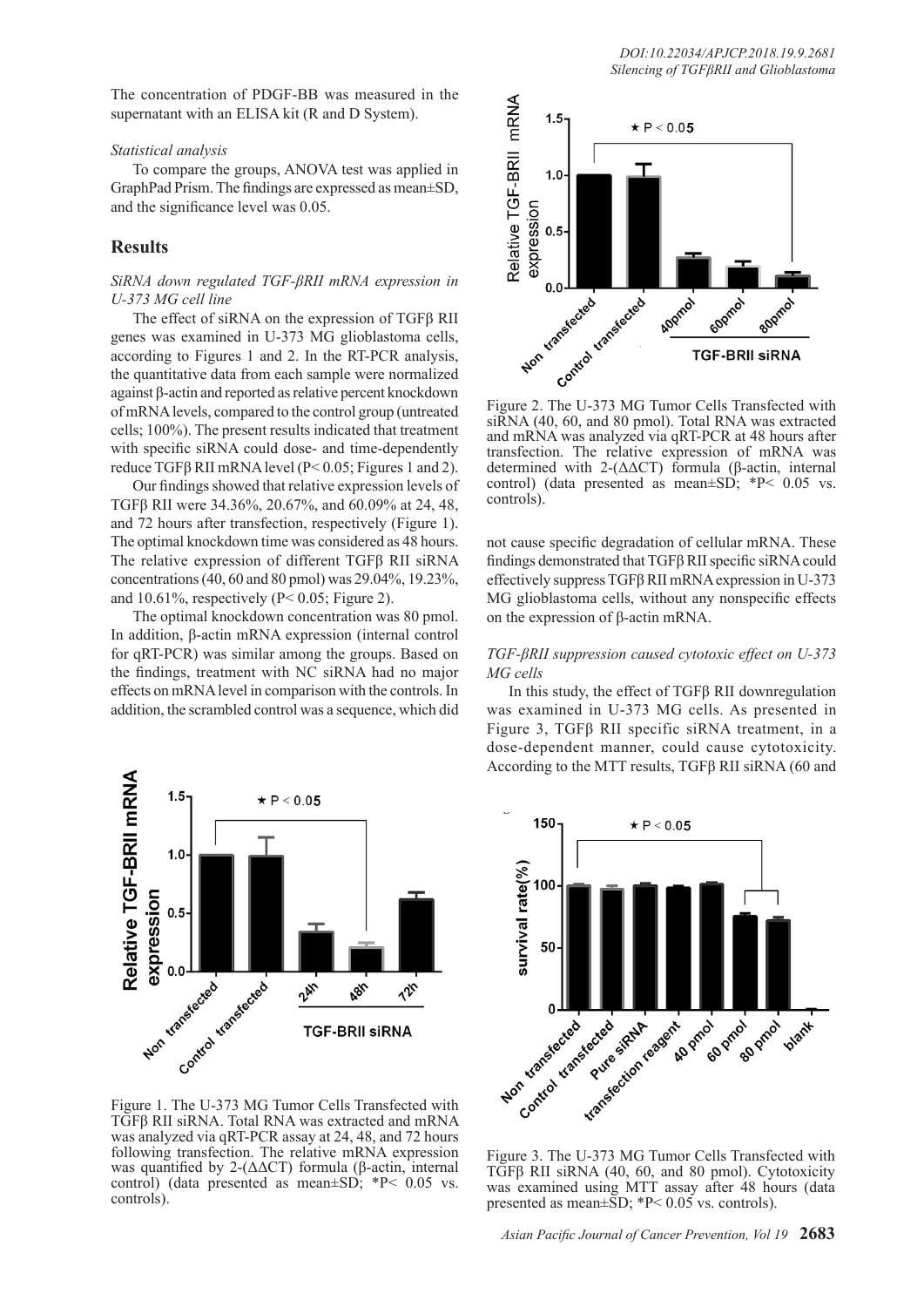The concentration of PDGF-BB was measured in the supernatant with an ELISA kit (R and D System).

#### *Statistical analysis*

To compare the groups, ANOVA test was applied in GraphPad Prism. The findings are expressed as mean±SD, and the significance level was 0.05.

## **Results**

## *SiRNA down regulated TGF-βRII mRNA expression in U-373 MG cell line*

The effect of siRNA on the expression of TGFβ RII genes was examined in U-373 MG glioblastoma cells, according to Figures 1 and 2. In the RT-PCR analysis, the quantitative data from each sample were normalized against β-actin and reported as relative percent knockdown of mRNA levels, compared to the control group (untreated cells; 100%). The present results indicated that treatment with specific siRNA could dose- and time-dependently reduce TGFβ RII mRNA level (P< 0.05; Figures 1 and 2).

Our findings showed that relative expression levels of TGFβ RII were 34.36%, 20.67%, and 60.09% at 24, 48, and 72 hours after transfection, respectively (Figure 1). The optimal knockdown time was considered as 48 hours. The relative expression of different TGFβ RII siRNA concentrations (40, 60 and 80 pmol) was 29.04%, 19.23%, and 10.61%, respectively ( $P < 0.05$ ; Figure 2).

The optimal knockdown concentration was 80 pmol. In addition, β-actin mRNA expression (internal control for qRT-PCR) was similar among the groups. Based on the findings, treatment with NC siRNA had no major effects on mRNA level in comparison with the controls. In addition, the scrambled control was a sequence, which did



Figure 1. The U-373 MG Tumor Cells Transfected with TGFβ RII siRNA. Total RNA was extracted and mRNA was analyzed via qRT-PCR assay at 24, 48, and 72 hours following transfection. The relative mRNA expression was quantified by 2- $(ΔΔCT)$  formula (β-actin, internal control) (data presented as mean±SD; \*P< 0.05 vs. controls).



siRNA (40, 60, and 80 pmol). Total RNA was extracted and mRNA was analyzed via qRT-PCR at 48 hours after transfection. The relative expression of mRNA was determined with 2-(ΔΔCT) formula (β-actin, internal control) (data presented as mean $\pm$ SD; \*P< 0.05 vs. controls).

not cause specific degradation of cellular mRNA. These findings demonstrated that TGFβ RII specific siRNA could effectively suppress TGFβ RII mRNA expression in U-373 MG glioblastoma cells, without any nonspecific effects on the expression of β-actin mRNA.

## *TGF-βRII suppression caused cytotoxic effect on U-373 MG cells*

In this study, the effect of TGFβ RII downregulation was examined in U-373 MG cells. As presented in Figure 3, TGFβ RII specific siRNA treatment, in a dose-dependent manner, could cause cytotoxicity. According to the MTT results, TGFβ RII siRNA (60 and



Figure 3. The U-373 MG Tumor Cells Transfected with TGFβ RII siRNA (40, 60, and 80 pmol). Cytotoxicity was examined using MTT assay after 48 hours (data presented as mean $\pm$ SD; \*P< 0.05 vs. controls).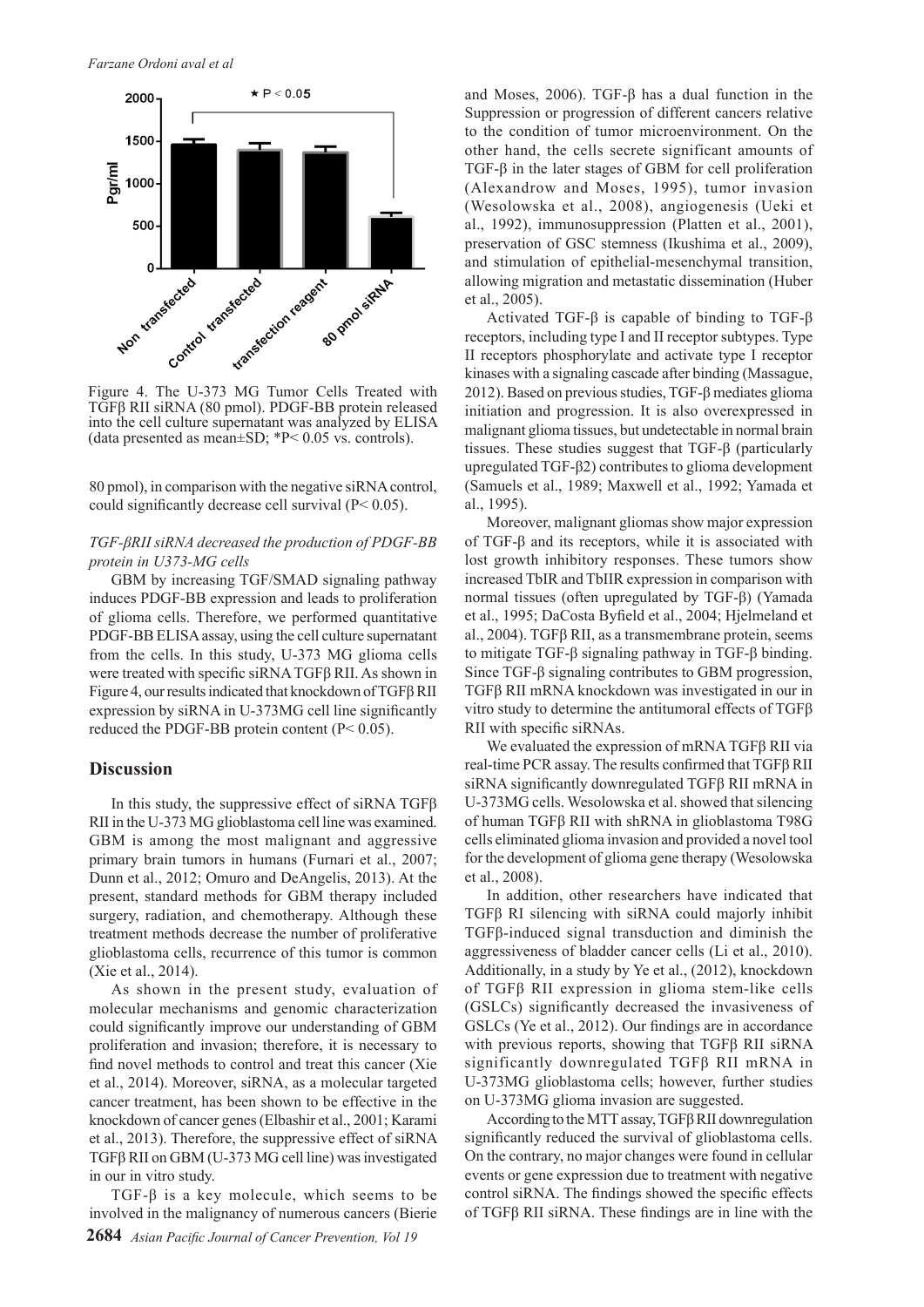

Figure 4. The U-373 MG Tumor Cells Treated with TGFβ RII siRNA (80 pmol). PDGF-BB protein released into the cell culture supernatant was analyzed by ELISA (data presented as mean $\pm$ SD; \*P< 0.05 vs. controls).

80 pmol), in comparison with the negative siRNA control, could significantly decrease cell survival (P< 0.05).

## *TGF-βRII siRNA decreased the production of PDGF-BB protein in U373-MG cells*

GBM by increasing TGF/SMAD signaling pathway induces PDGF-BB expression and leads to proliferation of glioma cells. Therefore, we performed quantitative PDGF-BB ELISA assay, using the cell culture supernatant from the cells. In this study, U-373 MG glioma cells were treated with specific siRNA TGFβ RII. As shown in Figure 4, our results indicated that knockdown of TGFβ RII expression by siRNA in U-373MG cell line significantly reduced the PDGF-BB protein content (P< 0.05).

#### **Discussion**

In this study, the suppressive effect of siRNA TGF $\beta$ RII in the U-373 MG glioblastoma cell line was examined. GBM is among the most malignant and aggressive primary brain tumors in humans (Furnari et al., 2007; Dunn et al., 2012; Omuro and DeAngelis, 2013). At the present, standard methods for GBM therapy included surgery, radiation, and chemotherapy. Although these treatment methods decrease the number of proliferative glioblastoma cells, recurrence of this tumor is common (Xie et al., 2014).

As shown in the present study, evaluation of molecular mechanisms and genomic characterization could significantly improve our understanding of GBM proliferation and invasion; therefore, it is necessary to find novel methods to control and treat this cancer (Xie et al., 2014). Moreover, siRNA, as a molecular targeted cancer treatment, has been shown to be effective in the knockdown of cancer genes (Elbashir et al., 2001; Karami et al., 2013). Therefore, the suppressive effect of siRNA TGFβ RII on GBM (U-373 MG cell line) was investigated in our in vitro study.

TGF-β is a key molecule, which seems to be involved in the malignancy of numerous cancers (Bierie and Moses, 2006). TGF- $\beta$  has a dual function in the Suppression or progression of different cancers relative to the condition of tumor microenvironment. On the other hand, the cells secrete significant amounts of TGF-β in the later stages of GBM for cell proliferation (Alexandrow and Moses, 1995), tumor invasion (Wesolowska et al., 2008), angiogenesis (Ueki et al., 1992), immunosuppression (Platten et al., 2001), preservation of GSC stemness (Ikushima et al., 2009), and stimulation of epithelial-mesenchymal transition, allowing migration and metastatic dissemination (Huber et al., 2005).

Activated TGF-β is capable of binding to TGF-β receptors, including type I and II receptor subtypes. Type II receptors phosphorylate and activate type I receptor kinases with a signaling cascade after binding (Massague, 2012). Based on previous studies, TGF-β mediates glioma initiation and progression. It is also overexpressed in malignant glioma tissues, but undetectable in normal brain tissues. These studies suggest that TGF-β (particularly upregulated TGF-β2) contributes to glioma development (Samuels et al., 1989; Maxwell et al., 1992; Yamada et al., 1995).

Moreover, malignant gliomas show major expression of TGF-β and its receptors, while it is associated with lost growth inhibitory responses. These tumors show increased TbIR and TbIIR expression in comparison with normal tissues (often upregulated by TGF-β) (Yamada et al., 1995; DaCosta Byfield et al., 2004; Hjelmeland et al., 2004). TGFβ RII, as a transmembrane protein, seems to mitigate TGF-β signaling pathway in TGF-β binding. Since TGF-β signaling contributes to GBM progression, TGFβ RII mRNA knockdown was investigated in our in vitro study to determine the antitumoral effects of TGFβ RII with specific siRNAs.

We evaluated the expression of mRNA TGFβ RII via real-time PCR assay. The results confirmed that TGFβ RII siRNA significantly downregulated TGFβ RII mRNA in U-373MG cells. Wesolowska et al. showed that silencing of human TGFβ RII with shRNA in glioblastoma T98G cells eliminated glioma invasion and provided a novel tool for the development of glioma gene therapy (Wesolowska et al., 2008).

In addition, other researchers have indicated that TGFβ RI silencing with siRNA could majorly inhibit TGFβ-induced signal transduction and diminish the aggressiveness of bladder cancer cells (Li et al., 2010). Additionally, in a study by Ye et al., (2012), knockdown of TGFβ RII expression in glioma stem-like cells (GSLCs) significantly decreased the invasiveness of GSLCs (Ye et al., 2012). Our findings are in accordance with previous reports, showing that TGFβ RII siRNA significantly downregulated TGFβ RII mRNA in U-373MG glioblastoma cells; however, further studies on U-373MG glioma invasion are suggested.

According to the MTT assay, TGFβ RII downregulation significantly reduced the survival of glioblastoma cells. On the contrary, no major changes were found in cellular events or gene expression due to treatment with negative control siRNA. The findings showed the specific effects of TGFβ RII siRNA. These findings are in line with the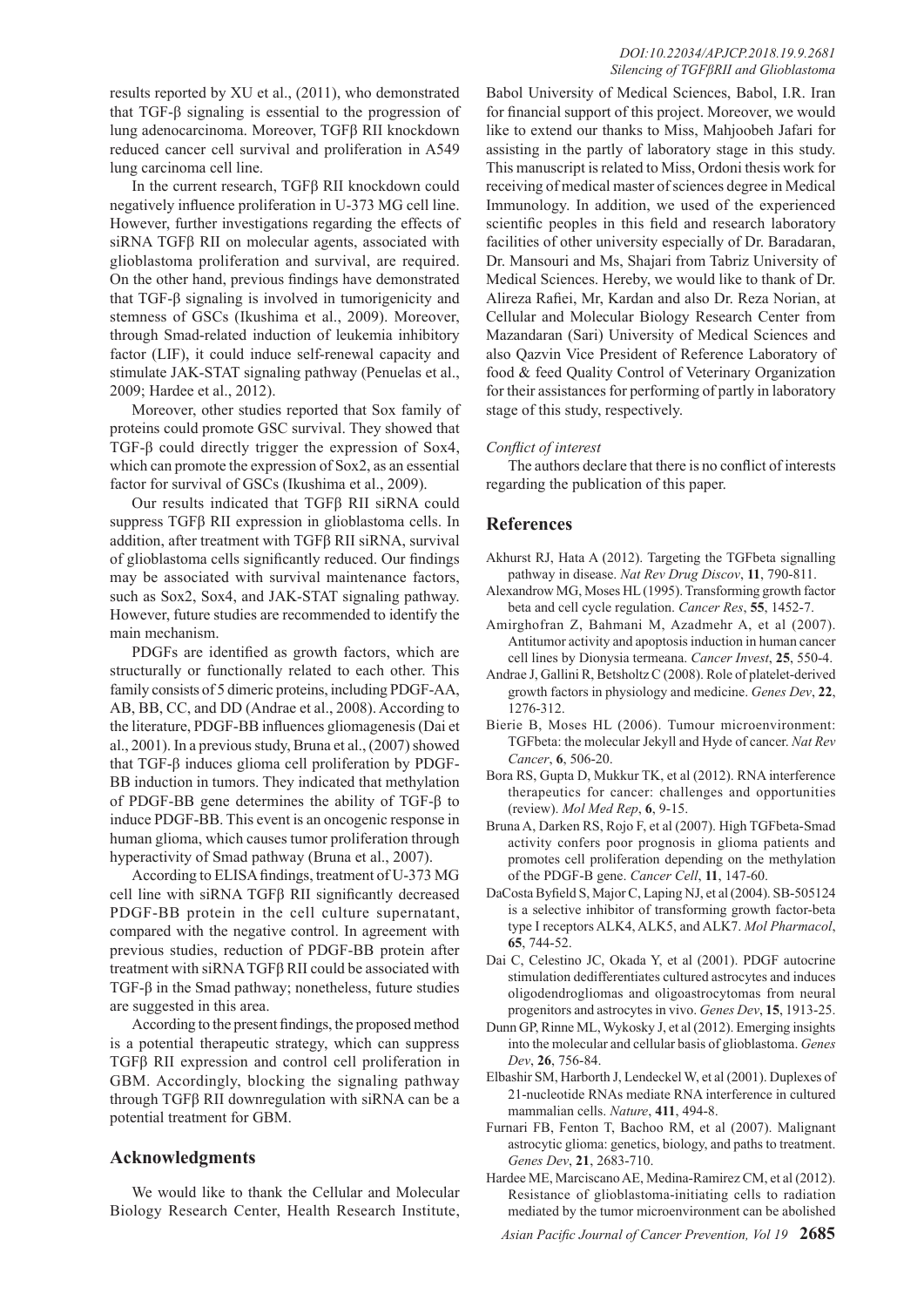results reported by XU et al., (2011), who demonstrated that TGF-β signaling is essential to the progression of lung adenocarcinoma. Moreover, TGFβ RII knockdown reduced cancer cell survival and proliferation in A549 lung carcinoma cell line.

In the current research, TGFβ RII knockdown could negatively influence proliferation in U-373 MG cell line. However, further investigations regarding the effects of siRNA TGFβ RII on molecular agents, associated with glioblastoma proliferation and survival, are required. On the other hand, previous findings have demonstrated that TGF-β signaling is involved in tumorigenicity and stemness of GSCs (Ikushima et al., 2009). Moreover, through Smad-related induction of leukemia inhibitory factor (LIF), it could induce self-renewal capacity and stimulate JAK-STAT signaling pathway (Penuelas et al., 2009; Hardee et al., 2012).

Moreover, other studies reported that Sox family of proteins could promote GSC survival. They showed that TGF-β could directly trigger the expression of Sox4, which can promote the expression of Sox2, as an essential factor for survival of GSCs (Ikushima et al., 2009).

Our results indicated that TGFβ RII siRNA could suppress TGFβ RII expression in glioblastoma cells. In addition, after treatment with TGFβ RII siRNA, survival of glioblastoma cells significantly reduced. Our findings may be associated with survival maintenance factors, such as Sox2, Sox4, and JAK-STAT signaling pathway. However, future studies are recommended to identify the main mechanism.

PDGFs are identified as growth factors, which are structurally or functionally related to each other. This family consists of 5 dimeric proteins, including PDGF-AA, AB, BB, CC, and DD (Andrae et al., 2008). According to the literature, PDGF-BB influences gliomagenesis (Dai et al., 2001). In a previous study, Bruna et al., (2007) showed that TGF-β induces glioma cell proliferation by PDGF-BB induction in tumors. They indicated that methylation of PDGF-BB gene determines the ability of TGF-β to induce PDGF-BB. This event is an oncogenic response in human glioma, which causes tumor proliferation through hyperactivity of Smad pathway (Bruna et al., 2007).

According to ELISA findings, treatment of U-373 MG cell line with siRNA TGFβ RII significantly decreased PDGF-BB protein in the cell culture supernatant, compared with the negative control. In agreement with previous studies, reduction of PDGF-BB protein after treatment with siRNA TGFβ RII could be associated with TGF-β in the Smad pathway; nonetheless, future studies are suggested in this area.

According to the present findings, the proposed method is a potential therapeutic strategy, which can suppress TGFβ RII expression and control cell proliferation in GBM. Accordingly, blocking the signaling pathway through TGFβ RII downregulation with siRNA can be a potential treatment for GBM.

## **Acknowledgments**

We would like to thank the Cellular and Molecular Biology Research Center, Health Research Institute,

Babol University of Medical Sciences, Babol, I.R. Iran for financial support of this project. Moreover, we would like to extend our thanks to Miss, Mahjoobeh Jafari for assisting in the partly of laboratory stage in this study. This manuscript is related to Miss, Ordoni thesis work for receiving of medical master of sciences degree in Medical Immunology. In addition, we used of the experienced scientific peoples in this field and research laboratory facilities of other university especially of Dr. Baradaran, Dr. Mansouri and Ms, Shajari from Tabriz University of Medical Sciences. Hereby, we would like to thank of Dr. Alireza Rafiei, Mr, Kardan and also Dr. Reza Norian, at Cellular and Molecular Biology Research Center from Mazandaran (Sari) University of Medical Sciences and also Qazvin Vice President of Reference Laboratory of food & feed Quality Control of Veterinary Organization for their assistances for performing of partly in laboratory stage of this study, respectively.

## *Conflict of interest*

The authors declare that there is no conflict of interests regarding the publication of this paper.

# **References**

- Akhurst RJ, Hata A (2012). Targeting the TGFbeta signalling pathway in disease. *Nat Rev Drug Discov*, **11**, 790-811.
- Alexandrow MG, Moses HL (1995). Transforming growth factor beta and cell cycle regulation. *Cancer Res*, **55**, 1452-7.
- Amirghofran Z, Bahmani M, Azadmehr A, et al (2007). Antitumor activity and apoptosis induction in human cancer cell lines by Dionysia termeana. *Cancer Invest*, **25**, 550-4.
- Andrae J, Gallini R, Betsholtz C (2008). Role of platelet-derived growth factors in physiology and medicine. *Genes Dev*, **22**, 1276-312.
- Bierie B, Moses HL (2006). Tumour microenvironment: TGFbeta: the molecular Jekyll and Hyde of cancer. *Nat Rev Cancer*, **6**, 506-20.
- Bora RS, Gupta D, Mukkur TK, et al (2012). RNA interference therapeutics for cancer: challenges and opportunities (review). *Mol Med Rep*, **6**, 9-15.
- Bruna A, Darken RS, Rojo F, et al (2007). High TGFbeta-Smad activity confers poor prognosis in glioma patients and promotes cell proliferation depending on the methylation of the PDGF-B gene. *Cancer Cell*, **11**, 147-60.
- DaCosta Byfield S, Major C, Laping NJ, et al (2004). SB-505124 is a selective inhibitor of transforming growth factor-beta type I receptors ALK4, ALK5, and ALK7. *Mol Pharmacol*, **65**, 744-52.
- Dai C, Celestino JC, Okada Y, et al (2001). PDGF autocrine stimulation dedifferentiates cultured astrocytes and induces oligodendrogliomas and oligoastrocytomas from neural progenitors and astrocytes in vivo. *Genes Dev*, **15**, 1913-25.
- Dunn GP, Rinne ML, Wykosky J, et al (2012). Emerging insights into the molecular and cellular basis of glioblastoma. *Genes Dev*, **26**, 756-84.
- Elbashir SM, Harborth J, Lendeckel W, et al (2001). Duplexes of 21-nucleotide RNAs mediate RNA interference in cultured mammalian cells. *Nature*, **411**, 494-8.
- Furnari FB, Fenton T, Bachoo RM, et al (2007). Malignant astrocytic glioma: genetics, biology, and paths to treatment. *Genes Dev*, **21**, 2683-710.
- Hardee ME, Marciscano AE, Medina-Ramirez CM, et al (2012). Resistance of glioblastoma-initiating cells to radiation mediated by the tumor microenvironment can be abolished

*Asian Pacific Journal of Cancer Prevention, Vol 19* **2685**